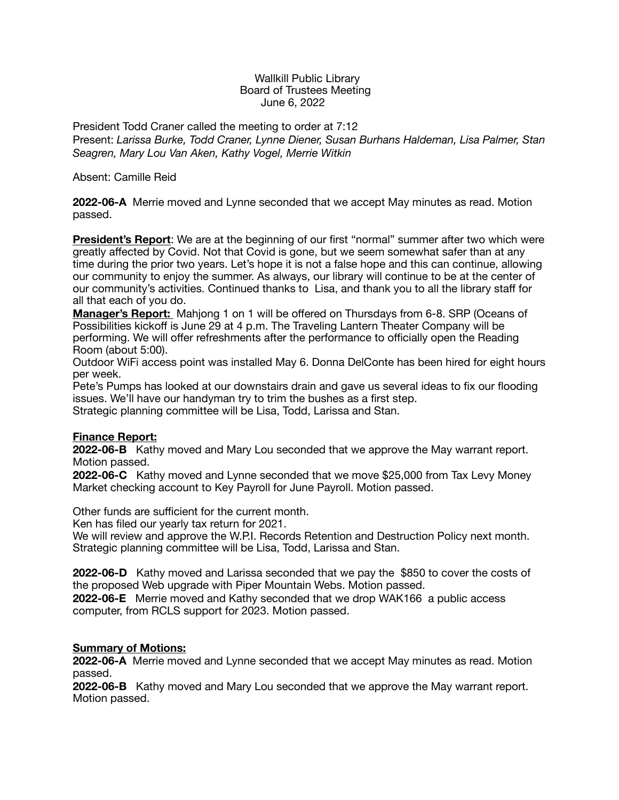#### Wallkill Public Library Board of Trustees Meeting June 6, 2022

President Todd Craner called the meeting to order at 7:12 Present: *Larissa Burke, Todd Craner, Lynne Diener, Susan Burhans Haldeman, Lisa Palmer, Stan Seagren, Mary Lou Van Aken, Kathy Vogel, Merrie Witkin* 

#### Absent: Camille Reid

**2022-06-A** Merrie moved and Lynne seconded that we accept May minutes as read. Motion passed.

**President's Report**: We are at the beginning of our first "normal" summer after two which were greatly affected by Covid. Not that Covid is gone, but we seem somewhat safer than at any time during the prior two years. Let's hope it is not a false hope and this can continue, allowing our community to enjoy the summer. As always, our library will continue to be at the center of our community's activities. Continued thanks to Lisa, and thank you to all the library staff for all that each of you do.

**Manager's Report:** Mahjong 1 on 1 will be offered on Thursdays from 6-8. SRP (Oceans of Possibilities kickoff is June 29 at 4 p.m. The Traveling Lantern Theater Company will be performing. We will offer refreshments after the performance to officially open the Reading Room (about 5:00).

Outdoor WiFi access point was installed May 6. Donna DelConte has been hired for eight hours per week.

Pete's Pumps has looked at our downstairs drain and gave us several ideas to fix our flooding issues. We'll have our handyman try to trim the bushes as a first step. Strategic planning committee will be Lisa, Todd, Larissa and Stan.

# **Finance Report:**

**2022-06-B** Kathy moved and Mary Lou seconded that we approve the May warrant report. Motion passed.

**2022-06-C** Kathy moved and Lynne seconded that we move \$25,000 from Tax Levy Money Market checking account to Key Payroll for June Payroll. Motion passed.

Other funds are sufficient for the current month.

Ken has filed our yearly tax return for 2021.

We will review and approve the W.P.I. Records Retention and Destruction Policy next month. Strategic planning committee will be Lisa, Todd, Larissa and Stan.

**2022-06-D** Kathy moved and Larissa seconded that we pay the \$850 to cover the costs of the proposed Web upgrade with Piper Mountain Webs. Motion passed.

**2022-06-E** Merrie moved and Kathy seconded that we drop WAK166 a public access computer, from RCLS support for 2023. Motion passed.

# **Summary of Motions:**

**2022-06-A** Merrie moved and Lynne seconded that we accept May minutes as read. Motion passed.

**2022-06-B** Kathy moved and Mary Lou seconded that we approve the May warrant report. Motion passed.